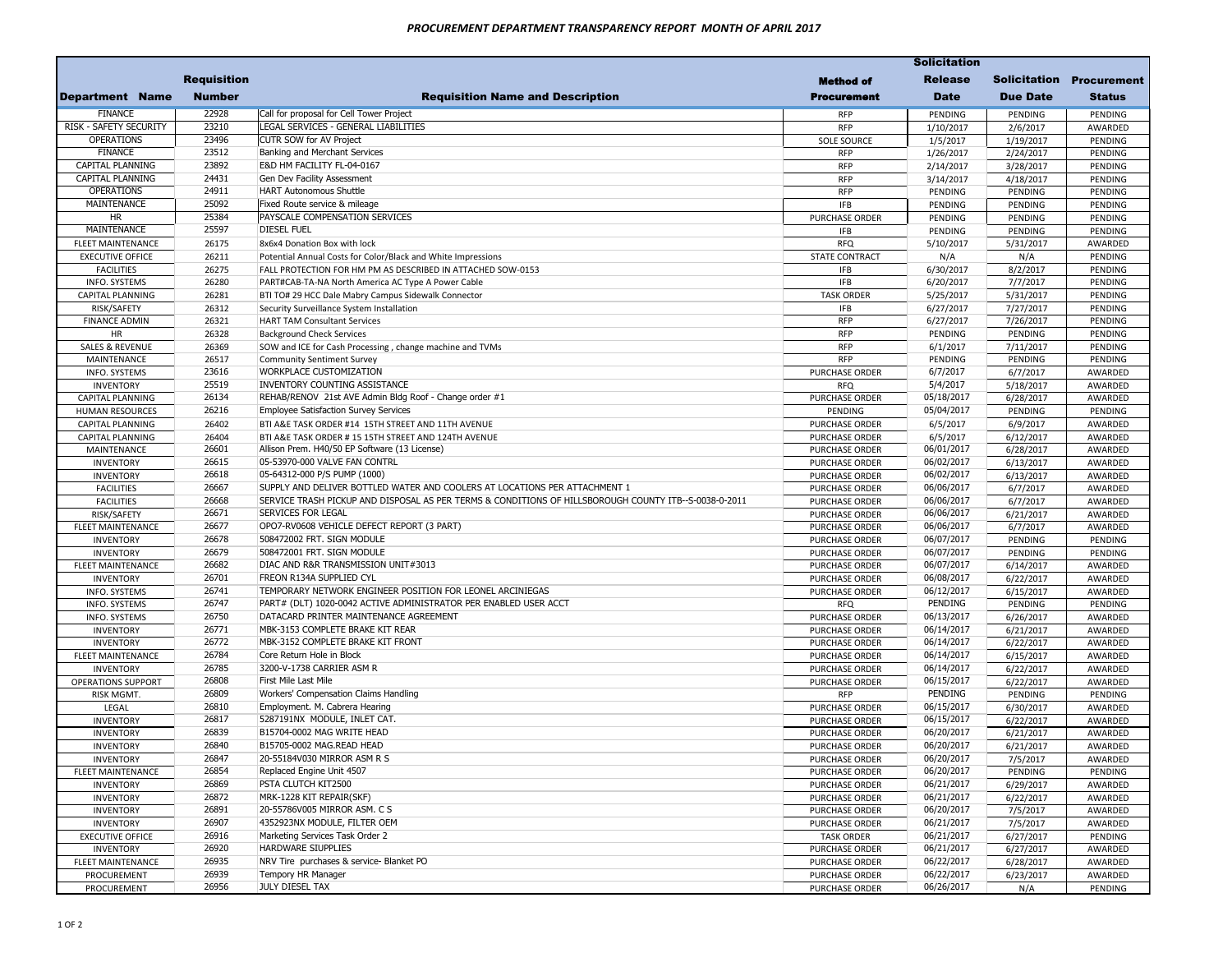|                                       | <b>Requisition</b> |                                                                                                       | Method of                    | <b>Release</b>           |                      | <b>Solicitation Procurement</b> |
|---------------------------------------|--------------------|-------------------------------------------------------------------------------------------------------|------------------------------|--------------------------|----------------------|---------------------------------|
| <b>Department Name</b>                | <b>Number</b>      | <b>Requisition Name and Description</b>                                                               | <b>Procurement</b>           | <b>Date</b>              | <b>Due Date</b>      | <b>Status</b>                   |
| <b>FINANCE</b>                        | 22928              | Call for proposal for Cell Tower Project                                                              | RFP                          | PENDING                  | PENDING              | PENDING                         |
| RISK - SAFETY SECURITY                | 23210              | LEGAL SERVICES - GENERAL LIABILITIES                                                                  | <b>RFP</b>                   | 1/10/2017                | 2/6/2017             | AWARDED                         |
| OPERATIONS                            | 23496              | CUTR SOW for AV Project                                                                               | <b>SOLE SOURCE</b>           | 1/5/2017                 | 1/19/2017            | PENDING                         |
| <b>FINANCE</b>                        | 23512              | Banking and Merchant Services                                                                         | <b>RFP</b>                   | 1/26/2017                | 2/24/2017            | PENDING                         |
| <b>CAPITAL PLANNING</b>               | 23892              | E&D HM FACILITY FL-04-0167                                                                            | <b>RFP</b>                   | 2/14/2017                | 3/28/2017            | PENDING                         |
| <b>CAPITAL PLANNING</b>               | 24431              | Gen Dev Facility Assessment                                                                           | <b>RFP</b>                   | 3/14/2017                | 4/18/2017            | PENDING                         |
| OPERATIONS                            | 24911              | <b>HART Autonomous Shuttle</b>                                                                        | <b>RFP</b>                   | PENDING                  | PENDING              | PENDING                         |
| MAINTENANCE                           | 25092              | Fixed Route service & mileage                                                                         | <b>IFB</b>                   | PENDING                  | PENDING              | PENDING                         |
| <b>HR</b>                             | 25384              | PAYSCALE COMPENSATION SERVICES                                                                        | PURCHASE ORDER               | PENDING                  | PENDING              | PENDING                         |
| MAINTENANCE                           | 25597              | <b>DIESEL FUEL</b>                                                                                    | <b>IFB</b>                   | PENDING                  | PENDING              | PENDING                         |
| <b>FLEET MAINTENANCE</b>              | 26175              | 8x6x4 Donation Box with lock                                                                          | <b>RFQ</b>                   | 5/10/2017                | 5/31/2017            | AWARDED                         |
| <b>EXECUTIVE OFFICE</b>               | 26211              | Potential Annual Costs for Color/Black and White Impressions                                          | <b>STATE CONTRACT</b>        | N/A                      | N/A                  | PENDING                         |
| <b>FACILITIES</b>                     | 26275              | FALL PROTECTION FOR HM PM AS DESCRIBED IN ATTACHED SOW-0153                                           | <b>IFB</b>                   | 6/30/2017                | 8/2/2017             | PENDING                         |
| INFO. SYSTEMS                         | 26280              | PART#CAB-TA-NA North America AC Type A Power Cable                                                    | <b>IFB</b>                   | 6/20/2017                | 7/7/2017             | PENDING                         |
| CAPITAL PLANNING                      | 26281              | BTI TO# 29 HCC Dale Mabry Campus Sidewalk Connector                                                   | <b>TASK ORDER</b>            | 5/25/2017                | 5/31/2017            | PENDING                         |
| RISK/SAFETY                           | 26312              | Security Surveillance System Installation                                                             | <b>IFB</b>                   | 6/27/2017                | 7/27/2017            | PENDING                         |
| <b>FINANCE ADMIN</b>                  | 26321              | <b>HART TAM Consultant Services</b>                                                                   | <b>RFP</b>                   | 6/27/2017                | 7/26/2017            | PENDING                         |
| HR                                    | 26328              | <b>Background Check Services</b>                                                                      | <b>RFP</b>                   | PENDING                  | PENDING              | PENDING                         |
| <b>SALES &amp; REVENUE</b>            | 26369              | SOW and ICE for Cash Processing, change machine and TVMs                                              | <b>RFP</b>                   | 6/1/2017                 | 7/11/2017            | PENDING                         |
| MAINTENANCE                           | 26517              | Community Sentiment Survey                                                                            | <b>RFP</b>                   | PENDING                  | PENDING              | PENDING                         |
| INFO. SYSTEMS                         | 23616              | <b>WORKPLACE CUSTOMIZATION</b>                                                                        | PURCHASE ORDER               | 6/7/2017                 | 6/7/2017             | AWARDED                         |
| <b>INVENTORY</b>                      | 25519              | INVENTORY COUNTING ASSISTANCE                                                                         | <b>RFQ</b>                   | 5/4/2017                 | 5/18/2017            | AWARDED                         |
| CAPITAL PLANNING                      | 26134              | REHAB/RENOV 21st AVE Admin Bldg Roof - Change order #1                                                | PURCHASE ORDER               | 05/18/2017               | 6/28/2017            | AWARDED                         |
| <b>HUMAN RESOURCES</b>                | 26216              | <b>Employee Satisfaction Survey Services</b>                                                          | PENDING                      | 05/04/2017               | PENDING              | PENDING                         |
| CAPITAL PLANNING                      | 26402              | BTI A&E TASK ORDER #14 15TH STREET AND 11TH AVENUE                                                    | PURCHASE ORDER               | 6/5/2017                 | 6/9/2017             | AWARDED                         |
| <b>CAPITAL PLANNING</b>               | 26404              | BTI A&E TASK ORDER # 15 15TH STREET AND 124TH AVENUE                                                  | PURCHASE ORDER               | 6/5/2017                 | 6/12/2017            | AWARDED                         |
| MAINTENANCE                           | 26601              | Allison Prem. H40/50 EP Software (13 License)                                                         | PURCHASE ORDER               | 06/01/2017               | 6/28/2017            | AWARDED                         |
| <b>INVENTORY</b>                      | 26615              | 05-53970-000 VALVE FAN CONTRL                                                                         | <b>PURCHASE ORDER</b>        | 06/02/2017               | 6/13/2017            | AWARDED                         |
| <b>INVENTORY</b>                      | 26618              | 05-64312-000 P/S PUMP (1000)                                                                          | PURCHASE ORDER               | 06/02/2017               | 6/13/2017            | AWARDED                         |
| <b>FACILITIES</b>                     | 26667              | SUPPLY AND DELIVER BOTTLED WATER AND COOLERS AT LOCATIONS PER ATTACHMENT 1                            | PURCHASE ORDER               | 06/06/2017               | 6/7/2017             | AWARDED                         |
| <b>FACILITIES</b>                     | 26668              | SERVICE TRASH PICKUP AND DISPOSAL AS PER TERMS & CONDITIONS OF HILLSBOROUGH COUNTY ITB--S-0038-0-2011 | PURCHASE ORDER               | 06/06/2017               | 6/7/2017             | AWARDED                         |
| RISK/SAFETY                           | 26671              | <b>SERVICES FOR LEGAL</b>                                                                             | PURCHASE ORDER               | 06/06/2017               | 6/21/2017            | AWARDED                         |
| <b>FLEET MAINTENANCE</b>              | 26677              | OPO7-RV0608 VEHICLE DEFECT REPORT (3 PART)                                                            | PURCHASE ORDER               | 06/06/2017               | 6/7/2017             | AWARDED                         |
| <b>INVENTORY</b>                      | 26678              | 508472002 FRT. SIGN MODULE                                                                            | PURCHASE ORDER               | 06/07/2017               | PENDING              | PENDING                         |
| <b>INVENTORY</b>                      | 26679<br>26682     | 508472001 FRT. SIGN MODULE<br>DIAC AND R&R TRANSMISSION UNIT#3013                                     | PURCHASE ORDER               | 06/07/2017<br>06/07/2017 | PENDING              | PENDING                         |
| <b>FLEET MAINTENANCE</b>              | 26701              | <b>FREON R134A SUPPLIED CYL</b>                                                                       | <b>PURCHASE ORDER</b>        | 06/08/2017               | 6/14/2017            | AWARDED                         |
| <b>INVENTORY</b>                      | 26741              | TEMPORARY NETWORK ENGINEER POSITION FOR LEONEL ARCINIEGAS                                             | PURCHASE ORDER               | 06/12/2017               | 6/22/2017            | AWARDED                         |
| <b>INFO. SYSTEMS</b>                  | 26747              | PART# (DLT) 1020-0042 ACTIVE ADMINISTRATOR PER ENABLED USER ACCT                                      | PURCHASE ORDER<br><b>RFQ</b> | PENDING                  | 6/15/2017            | AWARDED                         |
| INFO. SYSTEMS<br><b>INFO. SYSTEMS</b> | 26750              | DATACARD PRINTER MAINTENANCE AGREEMENT                                                                | PURCHASE ORDER               | 06/13/2017               | PENDING<br>6/26/2017 | PENDING<br>AWARDED              |
| <b>INVENTORY</b>                      | 26771              | MBK-3153 COMPLETE BRAKE KIT REAR                                                                      | PURCHASE ORDER               | 06/14/2017               | 6/21/2017            | AWARDED                         |
| <b>INVENTORY</b>                      | 26772              | MBK-3152 COMPLETE BRAKE KIT FRONT                                                                     | PURCHASE ORDER               | 06/14/2017               | 6/22/2017            | AWARDED                         |
| <b>FLEET MAINTENANCE</b>              | 26784              | Core Return Hole in Block                                                                             | PURCHASE ORDER               | 06/14/2017               | 6/15/2017            | AWARDED                         |
| <b>INVENTORY</b>                      | 26785              | 3200-V-1738 CARRIER ASM R                                                                             | <b>PURCHASE ORDER</b>        | 06/14/2017               | 6/22/2017            | AWARDED                         |
| OPERATIONS SUPPORT                    | 26808              | First Mile Last Mile                                                                                  | PURCHASE ORDER               | 06/15/2017               | 6/22/2017            | AWARDED                         |
| RISK MGMT.                            | 26809              | Workers' Compensation Claims Handling                                                                 | <b>RFP</b>                   | PENDING                  | PENDING              | PENDING                         |
| LEGAL                                 | 26810              | Employment. M. Cabrera Hearing                                                                        | PURCHASE ORDER               | 06/15/2017               | 6/30/2017            | AWARDED                         |
| <b>INVENTORY</b>                      | 26817              | 5287191NX MODULE, INLET CAT.                                                                          | PURCHASE ORDER               | 06/15/2017               | 6/22/2017            | AWARDED                         |
| <b>INVENTORY</b>                      | 26839              | B15704-0002 MAG WRITE HEAD                                                                            | <b>PURCHASE ORDER</b>        | 06/20/2017               | 6/21/2017            | AWARDED                         |
| <b>INVENTORY</b>                      | 26840              | B15705-0002 MAG.READ HEAD                                                                             | PURCHASE ORDER               | 06/20/2017               | 6/21/2017            | AWARDED                         |
| <b>INVENTORY</b>                      | 26847              | 20-55184V030 MIRROR ASM R S                                                                           | PURCHASE ORDER               | 06/20/2017               | 7/5/2017             | AWARDED                         |
| FLEET MAINTENANCE                     | 26854              | Replaced Engine Unit 4507                                                                             | PURCHASE ORDER               | 06/20/2017               | PENDING              | PENDING                         |
| <b>INVENTORY</b>                      | 26869              | PSTA CLUTCH KIT2500                                                                                   | PURCHASE ORDER               | 06/21/2017               | 6/29/2017            | AWARDED                         |
| <b>INVENTORY</b>                      | 26872              | MRK-1228 KIT REPAIR(SKF)                                                                              | PURCHASE ORDER               | 06/21/2017               | 6/22/2017            | AWARDED                         |
| <b>INVENTORY</b>                      | 26891              | 20-55786V005 MIRROR ASM. C S                                                                          | PURCHASE ORDER               | 06/20/2017               | 7/5/2017             | AWARDED                         |
| <b>INVENTORY</b>                      | 26907              | 4352923NX MODULE, FILTER OEM                                                                          | PURCHASE ORDER               | 06/21/2017               | 7/5/2017             | AWARDED                         |
| <b>EXECUTIVE OFFICE</b>               | 26916              | Marketing Services Task Order 2                                                                       | <b>TASK ORDER</b>            | 06/21/2017               | 6/27/2017            | PENDING                         |
| <b>INVENTORY</b>                      | 26920              | <b>HARDWARE SIUPPLIES</b>                                                                             | PURCHASE ORDER               | 06/21/2017               | 6/27/2017            | AWARDED                         |
| FLEET MAINTENANCE                     | 26935              | NRV Tire purchases & service- Blanket PO                                                              | PURCHASE ORDER               | 06/22/2017               | 6/28/2017            | AWARDED                         |
| PROCUREMENT                           | 26939              | Tempory HR Manager                                                                                    | PURCHASE ORDER               | 06/22/2017               | 6/23/2017            | AWARDED                         |
| PROCUREMENT                           | 26956              | JULY DIESEL TAX                                                                                       | PURCHASE ORDER               | 06/26/2017               | N/A                  | PENDING                         |